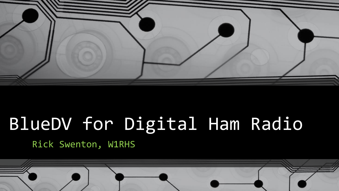

Rick Swenton, W1RHS

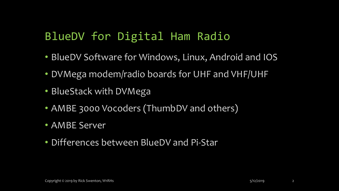- BlueDV Software for Windows, Linux, Android and IOS
- DVMega modem/radio boards for UHF and VHF/UHF
- BlueStack with DVMega
- AMBE 3000 Vocoders (ThumbDV and others)
- AMBE Server
- Differences between BlueDV and Pi-Star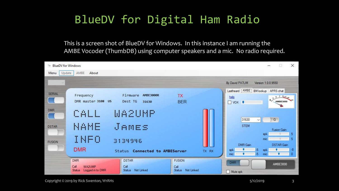This is a screen shot of BlueDV for Windows. In this instance I am running the AMBE Vocoder (ThumbDB) using computer speakers and a mic. No radio required.

| Tov BlueDV for Windows |                                                                    |                                                     |                                               | $\times$<br>$\Box$                                                                                                      |
|------------------------|--------------------------------------------------------------------|-----------------------------------------------------|-----------------------------------------------|-------------------------------------------------------------------------------------------------------------------------|
| Menu<br>Update         | AMBE<br>About                                                      |                                                     |                                               |                                                                                                                         |
|                        |                                                                    |                                                     |                                               | By David PA7LIM<br>Version 1.0.0.9550                                                                                   |
| SERIAL                 | Frequency<br>DMR master 3108 US                                    | Firmware<br><b>AMBE3000R</b><br>Dest TG<br>31630    | TX<br><b>BER</b>                              | Lastheard   AMBE  <br>BM lookup APRS chat<br>5, 7, 9, 10, 30<br>help<br>$s_{i}$<br><b>AMBE3000</b><br>$\Box$ vox $\Box$ |
| <b>DMR</b>             | CALL                                                               | <b>WA2UMP</b>                                       |                                               | G<br>31630<br>$\checkmark$                                                                                              |
| <b>DSTAR</b>           | <b>NAME</b>                                                        | $J$ AMES                                            |                                               | <b>STEM</b><br><b>Fusion Gain</b><br>5<br>spk                                                                           |
| <b>FUSION</b>          | INFO                                                               | 3134946                                             |                                               | 5<br>mic<br>DMR Gain<br><b>DSTAR Gain</b>                                                                               |
|                        | <b>DMR</b>                                                         | Status Connected to AMBEServer                      | TX RX                                         | $-5$<br>$-8$<br>sok<br>spk<br>$-5$<br>mic<br>mic                                                                        |
|                        | <b>DMR</b><br>Call<br>WA2UMP.<br>Logged in to DMR<br><b>Status</b> | <b>DSTAR</b><br>Call<br>Not Linked<br><b>Status</b> | <b>FUSION</b><br>Call<br>Status<br>Not Linked | <b>DMR</b><br>AMBE3000<br>Mute spk                                                                                      |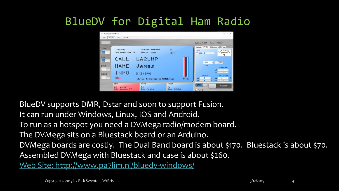

BlueDV supports DMR, Dstar and soon to support Fusion. It can run under Windows, Linux, IOS and Android. To run as a hotspot you need a DVMega radio/modem board. The DVMega sits on a Bluestack board or an Arduino. DVMega boards are costly. The Dual Band board is about \$170. Bluestack is about \$70. Assembled DVMega with Bluestack and case is about \$260. [Web Site: http://www.pa7lim.nl/bluedv-windows/](http://www.pa7lim.nl/bluedv-windows/)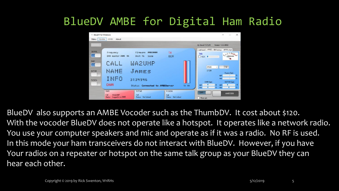

BlueDV also supports an AMBE Vocoder such as the ThumbDV. It cost about \$120. With the vocoder BlueDV does not operate like a hotspot. It operates like a network radio. You use your computer speakers and mic and operate as if it was a radio. No RF is used. In this mode your ham transceivers do not interact with BlueDV. However, if you have Your radios on a repeater or hotspot on the same talk group as your BlueDV they can hear each other.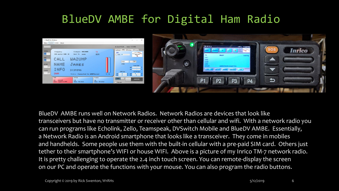

BlueDV AMBE runs well on Network Radios. Network Radios are devices that look like transceivers but have no transmitter or receiver other than cellular and wifi. With a network radio you can run programs like Echolink, Zello, Teamspeak, DVSwitch Mobile and BlueDV AMBE. Essentially, a Network Radio is an Android smartphone that looks like a transceiver. They come in mobiles and handhelds. Some people use them with the built-in cellular with a pre-paid SIM card. Others just tether to their smartphone's WIFI or house WIFI. Above is a picture of my Inrico TM-7 network radio. It is pretty challenging to operate the 2.4 inch touch screen. You can remote-display the screen on our PC and operate the functions with your mouse. You can also program the radio buttons.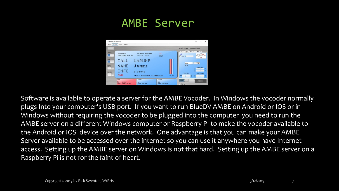### AMBE Server



Software is available to operate a server for the AMBE Vocoder. In Windows the vocoder normally plugs Into your computer's USB port. If you want to run BlueDV AMBE on Android or IOS or in Windows without requiring the vocoder to be plugged into the computer you need to run the AMBE server on a different Windows computer or Raspberry PI to make the vocoder available to the Android or IOS device over the network. One advantage is that you can make your AMBE Server available to be accessed over the internet so you can use it anywhere you have Internet access. Setting up the AMBE server on Windows is not that hard. Setting up the AMBE server on a Raspberry Pi is not for the faint of heart.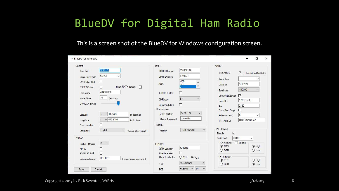This is a screen shot of the BlueDV for Windows configuration screen.

| General             |                                                   | <b>DMR</b>        |                               | AMBE                                                                 |                                  |
|---------------------|---------------------------------------------------|-------------------|-------------------------------|----------------------------------------------------------------------|----------------------------------|
| Your Call           | <b>W1RHS</b>                                      | DMR ID hotspot    | 310992104                     | Use AMBE                                                             | ☑<br>(ThumbDV/DV3000)            |
| Serial Port Radio   | COM <sub>3</sub><br>$\checkmark$                  | DMR ID simple     | 3109921                       | Serial Port                                                          | $\checkmark$                     |
| Save QSO Log        | $\Box$                                            | QRG               | $-100$<br>$\wedge$<br>$-50$   | DMR ID                                                               | 3109921                          |
| RX/TX Colors        | Invert RXTX screen<br>П                           |                   |                               |                                                                      | 460800<br>$\checkmark$           |
| Frequency           | 434300000                                         | Enable at start   | H                             | <b>Baud</b> rate                                                     |                                  |
| Mode Timer          | 10<br>Seconds                                     | DMR type          | <b>BM</b><br>$\checkmark$     | Use AMBEServer                                                       | $\overline{\vee}$<br>172.16.5.15 |
| <b>DVMEGA</b> power |                                                   | No inband data    | П                             | Host/IP                                                              | 2460                             |
|                     |                                                   | Brandmeister      |                               | Port<br>Start/Stop Beep                                              | $\overline{\phantom{a}}$         |
| Latitude            | 41.7308<br>$\checkmark$<br>$+$<br>in decimals     | <b>DMR</b> Master | 3108 US<br>$\checkmark$       | Kill timer (min)                                                     | 5<br>$\checkmark$                |
| Longitude           | 070.1709<br>$\checkmark$<br>in decimals           | Master Password   | passw0rd                      | <b>DSTAR</b> text                                                    | Rick, Dennis MA                  |
| Always on top       |                                                   | $DMR+$            |                               |                                                                      |                                  |
| Language            | English<br>$\checkmark$<br>(Active after restart) | Master            | <b>TGIF-Network</b><br>$\sim$ | PTT keying                                                           |                                  |
| <b>DSTAR</b>        |                                                   |                   |                               | $\color{red}\heartsuit$<br>Enable<br>COM <sub>3</sub><br>Serial port | $\checkmark$                     |
| <b>DSTAR Module</b> | $\mathsf{C}$<br>$\check{ }$                       | <b>FUSION</b>     |                               | RX Indicator                                                         | $\Box$ Enable                    |
| <b>APRS</b>         |                                                   | QTH Location      | JO22MB                        | O RTS                                                                | $\odot$ High                     |
| Enable at start     |                                                   | Enable at start   | 22                            | O DTR                                                                | O Low                            |
| Default reflector   | REF10C<br>(Empty is not connect)                  | Default reflector | ○ YSF ● FCS                   | <b>PTT Button</b><br>◎ CTS                                           | $O$ High                         |
|                     |                                                   | YSF               | SC Scotland<br>$\checkmark$   | O DSR                                                                | O Low                            |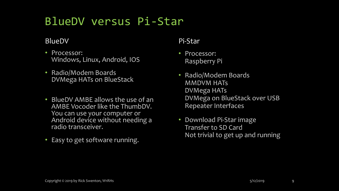### BlueDV versus Pi-Star

#### BlueDV

- Processor: Windows, Linux, Android, IOS
- Radio/Modem Boards DVMega HATs on BlueStack
- BlueDV AMBE allows the use of an AMBE Vocoder like the ThumbDV. You can use your computer or Android device without needing a radio transceiver.
- Easy to get software running.

#### Pi-Star

- Processor: Raspberry Pi
- Radio/Modem Boards MMDVM HATs DVMega HATs DVMega on BlueStack over USB Repeater Interfaces
- Download Pi-Star image Transfer to SD Card Not trivial to get up and running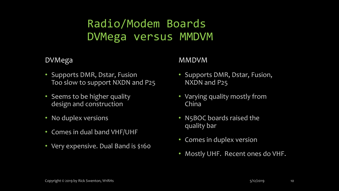## Radio/Modem Boards DVMega versus MMDVM

#### DVMega

- Supports DMR, Dstar, Fusion Too slow to support NXDN and P25
- Seems to be higher quality design and construction
- No duplex versions
- Comes in dual band VHF/UHF
- Very expensive. Dual Band is \$160

#### MMDVM

- Supports DMR, Dstar, Fusion, NXDN and P25
- Varying quality mostly from China
- N5BOC boards raised the quality bar
- Comes in duplex version
- Mostly UHF. Recent ones do VHF.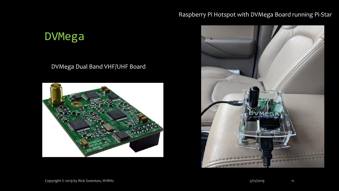#### Raspberry Pi Hotspot with DVMega Board running Pi-Star



# DVMega

#### DVMega Dual Band VHF/UHF Board

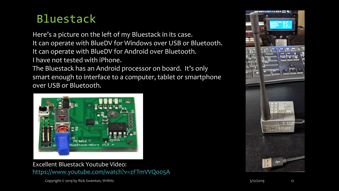# Bluestack

Here's a picture on the left of my Bluestack in its case. It can operate with BlueDV for Windows over USB or Bluetooth. It can operate with BlueDV for Android over Bluetooth. I have not tested with iPhone.

The Bluestack has an Android processor on board. It's only smart enough to interface to a computer, tablet or smartphone over USB or Bluetooth.



Excellent Bluestack Youtube Video: <https://www.youtube.com/watch?v=zFTmVVQo05A>



Copyright © 2019 by Rick Swenton, W1RHs  $5/12/2019$  12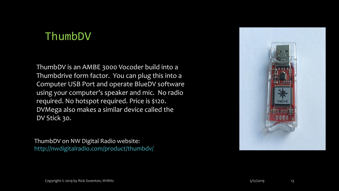### ThumbDV

ThumbDV is an AMBE 3000 Vocoder build into a Thumbdrive form factor. You can plug this into a Computer USB Port and operate BlueDV software using your computer's speaker and mic. No radio required. No hotspot required. Price is \$120. DVMega also makes a similar device called the DV Stick 30.

ThumbDV on NW Digital Radio website: <http://nwdigitalradio.com/product/thumbdv/>